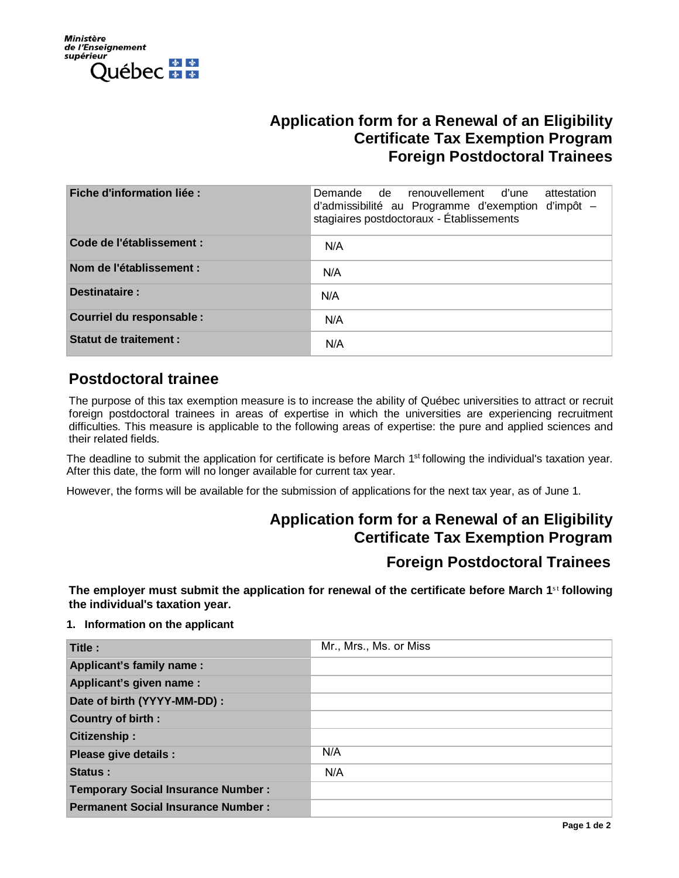

## **Application form for a Renewal of an Eligibility Certificate Tax Exemption Program Foreign Postdoctoral Trainees**

| Fiche d'information liée :   | Demande de renouvellement d'une<br>attestation<br>d'admissibilité au Programme d'exemption d'impôt -<br>stagiaires postdoctoraux - Établissements |
|------------------------------|---------------------------------------------------------------------------------------------------------------------------------------------------|
| Code de l'établissement :    | N/A                                                                                                                                               |
| Nom de l'établissement :     | N/A                                                                                                                                               |
| Destinataire:                | N/A                                                                                                                                               |
| Courriel du responsable :    | N/A                                                                                                                                               |
| <b>Statut de traitement:</b> | N/A                                                                                                                                               |

### **Postdoctoral trainee**

The purpose of this tax exemption measure is to increase the ability of Québec universities to attract or recruit foreign postdoctoral trainees in areas of expertise in which the universities are experiencing recruitment difficulties. This measure is applicable to the following areas of expertise: the pure and applied sciences and their related fields.

The deadline to submit the application for certificate is before March 1<sup>st</sup> following the individual's taxation year. After this date, the form will no longer available for current tax year.

However, the forms will be available for the submission of applications for the next tax year, as of June 1.

# **Application form for a Renewal of an Eligibility Certificate Tax Exemption Program Foreign Postdoctoral Trainees**

**The employer must submit the application for renewal of the certificate before March 1st following the individual's taxation year.** 

#### **1. Information on the applicant**

| Title :                                   | Mr., Mrs., Ms. or Miss |
|-------------------------------------------|------------------------|
| Applicant's family name:                  |                        |
| Applicant's given name :                  |                        |
| Date of birth (YYYY-MM-DD) :              |                        |
| <b>Country of birth:</b>                  |                        |
| Citizenship:                              |                        |
| Please give details :                     | N/A                    |
| Status:                                   | N/A                    |
| <b>Temporary Social Insurance Number:</b> |                        |
| <b>Permanent Social Insurance Number:</b> |                        |